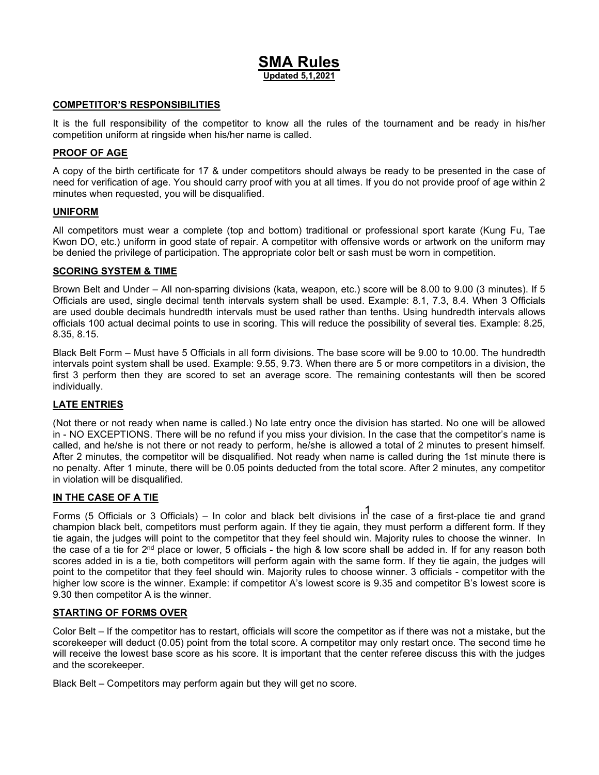# SMA Rules Updated 5,1,2021

#### COMPETITOR'S RESPONSIBILITIES

It is the full responsibility of the competitor to know all the rules of the tournament and be ready in his/her competition uniform at ringside when his/her name is called.

#### PROOF OF AGE

A copy of the birth certificate for 17 & under competitors should always be ready to be presented in the case of need for verification of age. You should carry proof with you at all times. If you do not provide proof of age within 2 minutes when requested, you will be disqualified.

#### UNIFORM

All competitors must wear a complete (top and bottom) traditional or professional sport karate (Kung Fu, Tae Kwon DO, etc.) uniform in good state of repair. A competitor with offensive words or artwork on the uniform may be denied the privilege of participation. The appropriate color belt or sash must be worn in competition.

#### SCORING SYSTEM & TIME

Brown Belt and Under – All non-sparring divisions (kata, weapon, etc.) score will be 8.00 to 9.00 (3 minutes). If 5 Officials are used, single decimal tenth intervals system shall be used. Example: 8.1, 7.3, 8.4. When 3 Officials are used double decimals hundredth intervals must be used rather than tenths. Using hundredth intervals allows officials 100 actual decimal points to use in scoring. This will reduce the possibility of several ties. Example: 8.25, 8.35, 8.15.

Black Belt Form – Must have 5 Officials in all form divisions. The base score will be 9.00 to 10.00. The hundredth intervals point system shall be used. Example: 9.55, 9.73. When there are 5 or more competitors in a division, the first 3 perform then they are scored to set an average score. The remaining contestants will then be scored individually.

#### LATE ENTRIES

(Not there or not ready when name is called.) No late entry once the division has started. No one will be allowed in - NO EXCEPTIONS. There will be no refund if you miss your division. In the case that the competitor's name is called, and he/she is not there or not ready to perform, he/she is allowed a total of 2 minutes to present himself. After 2 minutes, the competitor will be disqualified. Not ready when name is called during the 1st minute there is no penalty. After 1 minute, there will be 0.05 points deducted from the total score. After 2 minutes, any competitor in violation will be disqualified.

#### IN THE CASE OF A TIE

Forms (5 Officials or 3 Officials) – In color and black belt divisions in the case of a first-place tie and grand champion black belt, competitors must perform again. If they tie again, they must perform a different form. If they tie again, the judges will point to the competitor that they feel should win. Majority rules to choose the winner. In the case of a tie for 2<sup>nd</sup> place or lower, 5 officials - the high & low score shall be added in. If for any reason both scores added in is a tie, both competitors will perform again with the same form. If they tie again, the judges will point to the competitor that they feel should win. Majority rules to choose winner. 3 officials - competitor with the higher low score is the winner. Example: if competitor A's lowest score is 9.35 and competitor B's lowest score is 9.30 then competitor A is the winner.

#### STARTING OF FORMS OVER

Color Belt – If the competitor has to restart, officials will score the competitor as if there was not a mistake, but the scorekeeper will deduct (0.05) point from the total score. A competitor may only restart once. The second time he will receive the lowest base score as his score. It is important that the center referee discuss this with the judges and the scorekeeper.

Black Belt – Competitors may perform again but they will get no score.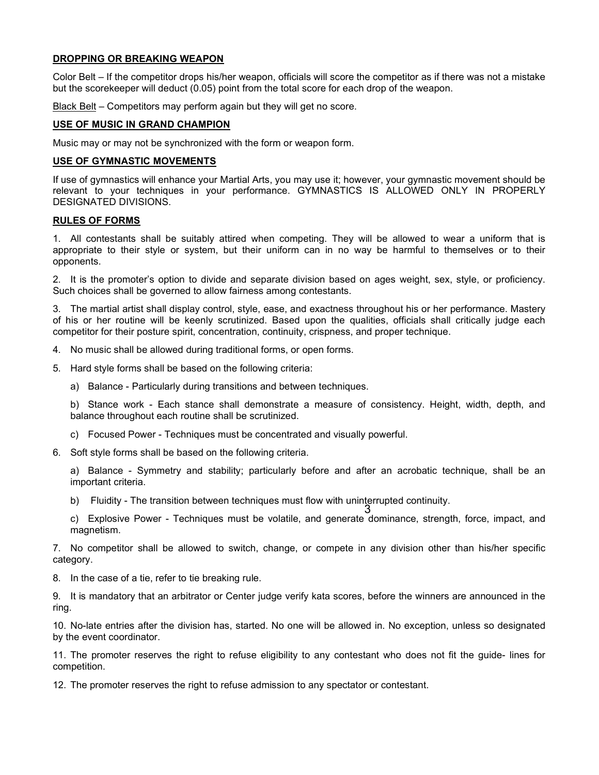#### DROPPING OR BREAKING WEAPON

Color Belt – If the competitor drops his/her weapon, officials will score the competitor as if there was not a mistake but the scorekeeper will deduct (0.05) point from the total score for each drop of the weapon.

Black Belt – Competitors may perform again but they will get no score.

#### USE OF MUSIC IN GRAND CHAMPION

Music may or may not be synchronized with the form or weapon form.

#### USE OF GYMNASTIC MOVEMENTS

If use of gymnastics will enhance your Martial Arts, you may use it; however, your gymnastic movement should be relevant to your techniques in your performance. GYMNASTICS IS ALLOWED ONLY IN PROPERLY DESIGNATED DIVISIONS.

#### RULES OF FORMS

1. All contestants shall be suitably attired when competing. They will be allowed to wear a uniform that is appropriate to their style or system, but their uniform can in no way be harmful to themselves or to their opponents.

2. It is the promoter's option to divide and separate division based on ages weight, sex, style, or proficiency. Such choices shall be governed to allow fairness among contestants.

3. The martial artist shall display control, style, ease, and exactness throughout his or her performance. Mastery of his or her routine will be keenly scrutinized. Based upon the qualities, officials shall critically judge each competitor for their posture spirit, concentration, continuity, crispness, and proper technique.

- 4. No music shall be allowed during traditional forms, or open forms.
- 5. Hard style forms shall be based on the following criteria:
	- a) Balance Particularly during transitions and between techniques.

b) Stance work - Each stance shall demonstrate a measure of consistency. Height, width, depth, and balance throughout each routine shall be scrutinized.

- c) Focused Power Techniques must be concentrated and visually powerful.
- 6. Soft style forms shall be based on the following criteria.

a) Balance - Symmetry and stability; particularly before and after an acrobatic technique, shall be an important criteria.

b) Fluidity - The transition between techniques must flow with uninterrupted continuity.

c) Explosive Power - Techniques must be volatile, and generate dominance, strength, force, impact, and magnetism. 3

7. No competitor shall be allowed to switch, change, or compete in any division other than his/her specific category.

8. In the case of a tie, refer to tie breaking rule.

9. It is mandatory that an arbitrator or Center judge verify kata scores, before the winners are announced in the ring.

10. No-late entries after the division has, started. No one will be allowed in. No exception, unless so designated by the event coordinator.

11. The promoter reserves the right to refuse eligibility to any contestant who does not fit the guide- lines for competition.

12. The promoter reserves the right to refuse admission to any spectator or contestant.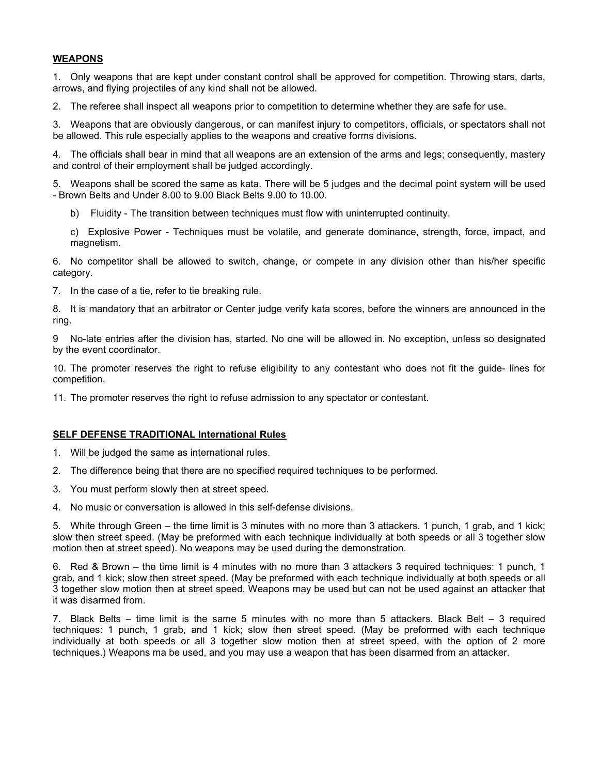### WEAPONS

1. Only weapons that are kept under constant control shall be approved for competition. Throwing stars, darts, arrows, and flying projectiles of any kind shall not be allowed.

2. The referee shall inspect all weapons prior to competition to determine whether they are safe for use.

3. Weapons that are obviously dangerous, or can manifest injury to competitors, officials, or spectators shall not be allowed. This rule especially applies to the weapons and creative forms divisions.

4. The officials shall bear in mind that all weapons are an extension of the arms and legs; consequently, mastery and control of their employment shall be judged accordingly.

5. Weapons shall be scored the same as kata. There will be 5 judges and the decimal point system will be used - Brown Belts and Under 8.00 to 9.00 Black Belts 9.00 to 10.00.

- b) Fluidity The transition between techniques must flow with uninterrupted continuity.
- c) Explosive Power Techniques must be volatile, and generate dominance, strength, force, impact, and magnetism.

6. No competitor shall be allowed to switch, change, or compete in any division other than his/her specific category.

7. In the case of a tie, refer to tie breaking rule.

8. It is mandatory that an arbitrator or Center judge verify kata scores, before the winners are announced in the ring.

9 No-late entries after the division has, started. No one will be allowed in. No exception, unless so designated by the event coordinator.

10. The promoter reserves the right to refuse eligibility to any contestant who does not fit the guide- lines for competition.

11. The promoter reserves the right to refuse admission to any spectator or contestant.

#### SELF DEFENSE TRADITIONAL International Rules

- 1. Will be judged the same as international rules.
- 2. The difference being that there are no specified required techniques to be performed.
- 3. You must perform slowly then at street speed.
- 4. No music or conversation is allowed in this self-defense divisions.

5. White through Green – the time limit is 3 minutes with no more than 3 attackers. 1 punch, 1 grab, and 1 kick; slow then street speed. (May be preformed with each technique individually at both speeds or all 3 together slow motion then at street speed). No weapons may be used during the demonstration.

6. Red & Brown – the time limit is 4 minutes with no more than 3 attackers 3 required techniques: 1 punch, 1 grab, and 1 kick; slow then street speed. (May be preformed with each technique individually at both speeds or all 3 together slow motion then at street speed. Weapons may be used but can not be used against an attacker that it was disarmed from.

7. Black Belts – time limit is the same 5 minutes with no more than 5 attackers. Black Belt – 3 required techniques: 1 punch, 1 grab, and 1 kick; slow then street speed. (May be preformed with each technique individually at both speeds or all 3 together slow motion then at street speed, with the option of 2 more techniques.) Weapons ma be used, and you may use a weapon that has been disarmed from an attacker.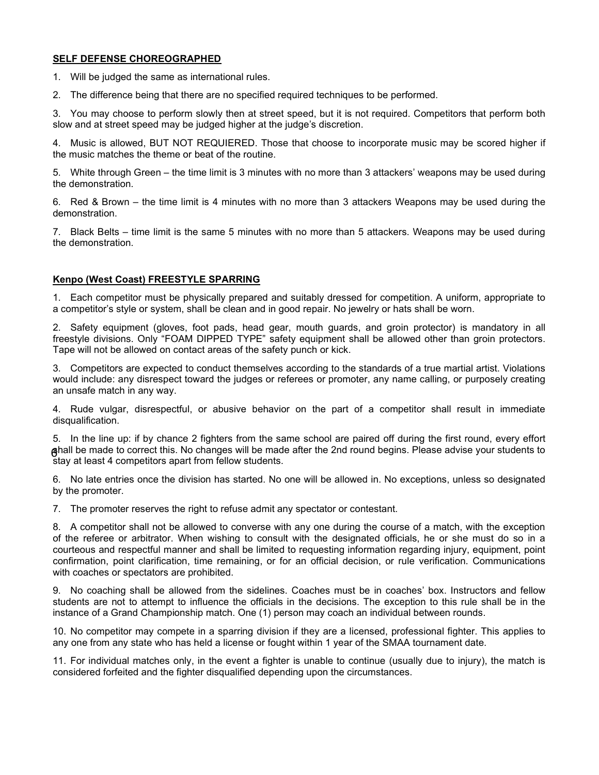#### SELF DEFENSE CHOREOGRAPHED

- 1. Will be judged the same as international rules.
- 2. The difference being that there are no specified required techniques to be performed.

3. You may choose to perform slowly then at street speed, but it is not required. Competitors that perform both slow and at street speed may be judged higher at the judge's discretion.

4. Music is allowed, BUT NOT REQUIERED. Those that choose to incorporate music may be scored higher if the music matches the theme or beat of the routine.

5. White through Green – the time limit is 3 minutes with no more than 3 attackers' weapons may be used during the demonstration.

6. Red & Brown – the time limit is 4 minutes with no more than 3 attackers Weapons may be used during the demonstration.

7. Black Belts – time limit is the same 5 minutes with no more than 5 attackers. Weapons may be used during the demonstration.

## Kenpo (West Coast) FREESTYLE SPARRING

1. Each competitor must be physically prepared and suitably dressed for competition. A uniform, appropriate to a competitor's style or system, shall be clean and in good repair. No jewelry or hats shall be worn.

2. Safety equipment (gloves, foot pads, head gear, mouth guards, and groin protector) is mandatory in all freestyle divisions. Only "FOAM DIPPED TYPE" safety equipment shall be allowed other than groin protectors. Tape will not be allowed on contact areas of the safety punch or kick.

3. Competitors are expected to conduct themselves according to the standards of a true martial artist. Violations would include: any disrespect toward the judges or referees or promoter, any name calling, or purposely creating an unsafe match in any way.

4. Rude vulgar, disrespectful, or abusive behavior on the part of a competitor shall result in immediate disqualification.

5. In the line up: if by chance 2 fighters from the same school are paired off during the first round, every effort shall be made to correct this. No changes will be made after the 2nd round begins. Please advise your students to 6 stay at least 4 competitors apart from fellow students.

6. No late entries once the division has started. No one will be allowed in. No exceptions, unless so designated by the promoter.

7. The promoter reserves the right to refuse admit any spectator or contestant.

8. A competitor shall not be allowed to converse with any one during the course of a match, with the exception of the referee or arbitrator. When wishing to consult with the designated officials, he or she must do so in a courteous and respectful manner and shall be limited to requesting information regarding injury, equipment, point confirmation, point clarification, time remaining, or for an official decision, or rule verification. Communications with coaches or spectators are prohibited.

9. No coaching shall be allowed from the sidelines. Coaches must be in coaches' box. Instructors and fellow students are not to attempt to influence the officials in the decisions. The exception to this rule shall be in the instance of a Grand Championship match. One (1) person may coach an individual between rounds.

10. No competitor may compete in a sparring division if they are a licensed, professional fighter. This applies to any one from any state who has held a license or fought within 1 year of the SMAA tournament date.

11. For individual matches only, in the event a fighter is unable to continue (usually due to injury), the match is considered forfeited and the fighter disqualified depending upon the circumstances.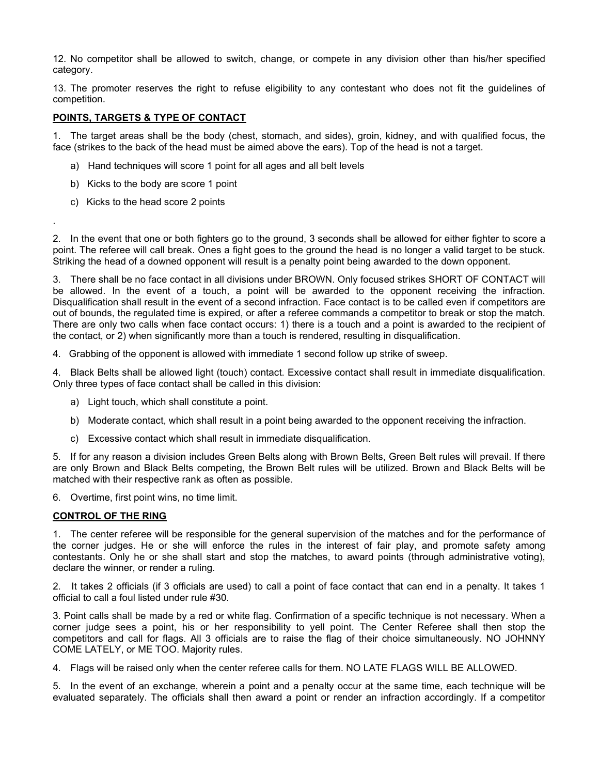12. No competitor shall be allowed to switch, change, or compete in any division other than his/her specified category.

13. The promoter reserves the right to refuse eligibility to any contestant who does not fit the guidelines of competition.

### POINTS, TARGETS & TYPE OF CONTACT

1. The target areas shall be the body (chest, stomach, and sides), groin, kidney, and with qualified focus, the face (strikes to the back of the head must be aimed above the ears). Top of the head is not a target.

- a) Hand techniques will score 1 point for all ages and all belt levels
- b) Kicks to the body are score 1 point
- c) Kicks to the head score 2 points

.

2. In the event that one or both fighters go to the ground, 3 seconds shall be allowed for either fighter to score a point. The referee will call break. Ones a fight goes to the ground the head is no longer a valid target to be stuck. Striking the head of a downed opponent will result is a penalty point being awarded to the down opponent.

3. There shall be no face contact in all divisions under BROWN. Only focused strikes SHORT OF CONTACT will be allowed. In the event of a touch, a point will be awarded to the opponent receiving the infraction. Disqualification shall result in the event of a second infraction. Face contact is to be called even if competitors are out of bounds, the regulated time is expired, or after a referee commands a competitor to break or stop the match. There are only two calls when face contact occurs: 1) there is a touch and a point is awarded to the recipient of the contact, or 2) when significantly more than a touch is rendered, resulting in disqualification.

4. Grabbing of the opponent is allowed with immediate 1 second follow up strike of sweep.

4. Black Belts shall be allowed light (touch) contact. Excessive contact shall result in immediate disqualification. Only three types of face contact shall be called in this division:

- a) Light touch, which shall constitute a point.
- b) Moderate contact, which shall result in a point being awarded to the opponent receiving the infraction.
- c) Excessive contact which shall result in immediate disqualification.

5. If for any reason a division includes Green Belts along with Brown Belts, Green Belt rules will prevail. If there are only Brown and Black Belts competing, the Brown Belt rules will be utilized. Brown and Black Belts will be matched with their respective rank as often as possible.

6. Overtime, first point wins, no time limit.

#### CONTROL OF THE RING

1. The center referee will be responsible for the general supervision of the matches and for the performance of the corner judges. He or she will enforce the rules in the interest of fair play, and promote safety among contestants. Only he or she shall start and stop the matches, to award points (through administrative voting), declare the winner, or render a ruling.

2. It takes 2 officials (if 3 officials are used) to call a point of face contact that can end in a penalty. It takes 1 official to call a foul listed under rule #30.

3. Point calls shall be made by a red or white flag. Confirmation of a specific technique is not necessary. When a corner judge sees a point, his or her responsibility to yell point. The Center Referee shall then stop the competitors and call for flags. All 3 officials are to raise the flag of their choice simultaneously. NO JOHNNY COME LATELY, or ME TOO. Majority rules.

4. Flags will be raised only when the center referee calls for them. NO LATE FLAGS WILL BE ALLOWED.

5. In the event of an exchange, wherein a point and a penalty occur at the same time, each technique will be evaluated separately. The officials shall then award a point or render an infraction accordingly. If a competitor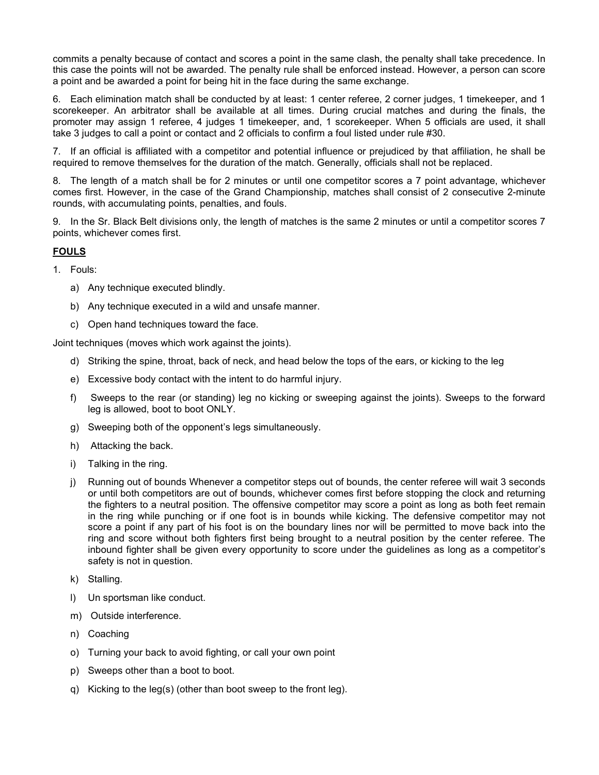commits a penalty because of contact and scores a point in the same clash, the penalty shall take precedence. In this case the points will not be awarded. The penalty rule shall be enforced instead. However, a person can score a point and be awarded a point for being hit in the face during the same exchange.

6. Each elimination match shall be conducted by at least: 1 center referee, 2 corner judges, 1 timekeeper, and 1 scorekeeper. An arbitrator shall be available at all times. During crucial matches and during the finals, the promoter may assign 1 referee, 4 judges 1 timekeeper, and, 1 scorekeeper. When 5 officials are used, it shall take 3 judges to call a point or contact and 2 officials to confirm a foul listed under rule #30.

7. If an official is affiliated with a competitor and potential influence or prejudiced by that affiliation, he shall be required to remove themselves for the duration of the match. Generally, officials shall not be replaced.

8. The length of a match shall be for 2 minutes or until one competitor scores a 7 point advantage, whichever comes first. However, in the case of the Grand Championship, matches shall consist of 2 consecutive 2-minute rounds, with accumulating points, penalties, and fouls.

9. In the Sr. Black Belt divisions only, the length of matches is the same 2 minutes or until a competitor scores 7 points, whichever comes first.

## FOULS

- 1. Fouls:
	- a) Any technique executed blindly.
	- b) Any technique executed in a wild and unsafe manner.
	- c) Open hand techniques toward the face.

Joint techniques (moves which work against the joints).

- d) Striking the spine, throat, back of neck, and head below the tops of the ears, or kicking to the leg
- e) Excessive body contact with the intent to do harmful injury.
- f) Sweeps to the rear (or standing) leg no kicking or sweeping against the joints). Sweeps to the forward leg is allowed, boot to boot ONLY.
- g) Sweeping both of the opponent's legs simultaneously.
- h) Attacking the back.
- i) Talking in the ring.
- j) Running out of bounds Whenever a competitor steps out of bounds, the center referee will wait 3 seconds or until both competitors are out of bounds, whichever comes first before stopping the clock and returning the fighters to a neutral position. The offensive competitor may score a point as long as both feet remain in the ring while punching or if one foot is in bounds while kicking. The defensive competitor may not score a point if any part of his foot is on the boundary lines nor will be permitted to move back into the ring and score without both fighters first being brought to a neutral position by the center referee. The inbound fighter shall be given every opportunity to score under the guidelines as long as a competitor's safety is not in question.
- k) Stalling.
- l) Un sportsman like conduct.
- m) Outside interference.
- n) Coaching
- o) Turning your back to avoid fighting, or call your own point
- p) Sweeps other than a boot to boot.
- q) Kicking to the leg(s) (other than boot sweep to the front leg).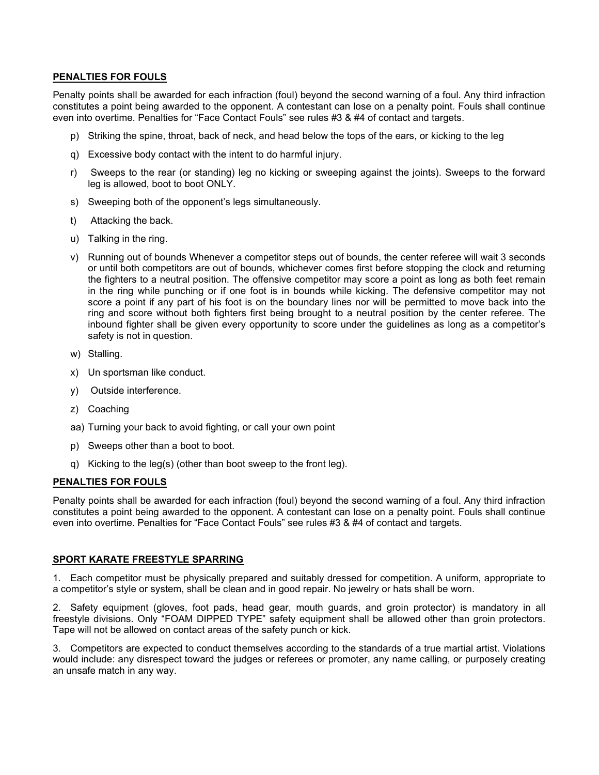### PENALTIES FOR FOULS

Penalty points shall be awarded for each infraction (foul) beyond the second warning of a foul. Any third infraction constitutes a point being awarded to the opponent. A contestant can lose on a penalty point. Fouls shall continue even into overtime. Penalties for "Face Contact Fouls" see rules #3 & #4 of contact and targets.

- p) Striking the spine, throat, back of neck, and head below the tops of the ears, or kicking to the leg
- q) Excessive body contact with the intent to do harmful injury.
- r) Sweeps to the rear (or standing) leg no kicking or sweeping against the joints). Sweeps to the forward leg is allowed, boot to boot ONLY.
- s) Sweeping both of the opponent's legs simultaneously.
- t) Attacking the back.
- u) Talking in the ring.
- v) Running out of bounds Whenever a competitor steps out of bounds, the center referee will wait 3 seconds or until both competitors are out of bounds, whichever comes first before stopping the clock and returning the fighters to a neutral position. The offensive competitor may score a point as long as both feet remain in the ring while punching or if one foot is in bounds while kicking. The defensive competitor may not score a point if any part of his foot is on the boundary lines nor will be permitted to move back into the ring and score without both fighters first being brought to a neutral position by the center referee. The inbound fighter shall be given every opportunity to score under the guidelines as long as a competitor's safety is not in question.
- w) Stalling.
- x) Un sportsman like conduct.
- y) Outside interference.
- z) Coaching
- aa) Turning your back to avoid fighting, or call your own point
- p) Sweeps other than a boot to boot.
- q) Kicking to the leg(s) (other than boot sweep to the front leg).

#### PENALTIES FOR FOULS

Penalty points shall be awarded for each infraction (foul) beyond the second warning of a foul. Any third infraction constitutes a point being awarded to the opponent. A contestant can lose on a penalty point. Fouls shall continue even into overtime. Penalties for "Face Contact Fouls" see rules #3 & #4 of contact and targets.

#### **SPORT KARATE** FREESTYLE SPARRING

1. Each competitor must be physically prepared and suitably dressed for competition. A uniform, appropriate to a competitor's style or system, shall be clean and in good repair. No jewelry or hats shall be worn.

2. Safety equipment (gloves, foot pads, head gear, mouth guards, and groin protector) is mandatory in all freestyle divisions. Only "FOAM DIPPED TYPE" safety equipment shall be allowed other than groin protectors. Tape will not be allowed on contact areas of the safety punch or kick.

3. Competitors are expected to conduct themselves according to the standards of a true martial artist. Violations would include: any disrespect toward the judges or referees or promoter, any name calling, or purposely creating an unsafe match in any way.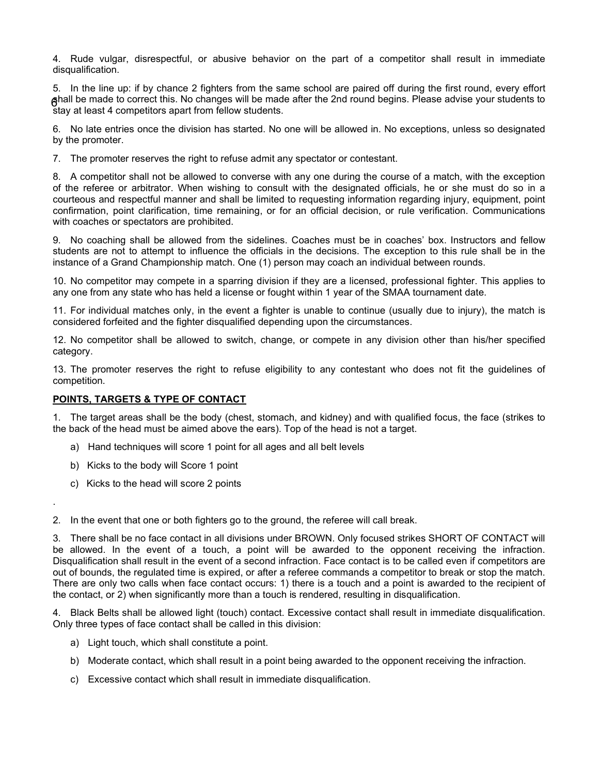4. Rude vulgar, disrespectful, or abusive behavior on the part of a competitor shall result in immediate disqualification.

5. In the line up: if by chance 2 fighters from the same school are paired off during the first round, every effort shall be made to correct this. No changes will be made after the 2nd round begins. Please advise your students to 6 stay at least 4 competitors apart from fellow students.

6. No late entries once the division has started. No one will be allowed in. No exceptions, unless so designated by the promoter.

7. The promoter reserves the right to refuse admit any spectator or contestant.

8. A competitor shall not be allowed to converse with any one during the course of a match, with the exception of the referee or arbitrator. When wishing to consult with the designated officials, he or she must do so in a courteous and respectful manner and shall be limited to requesting information regarding injury, equipment, point confirmation, point clarification, time remaining, or for an official decision, or rule verification. Communications with coaches or spectators are prohibited.

9. No coaching shall be allowed from the sidelines. Coaches must be in coaches' box. Instructors and fellow students are not to attempt to influence the officials in the decisions. The exception to this rule shall be in the instance of a Grand Championship match. One (1) person may coach an individual between rounds.

10. No competitor may compete in a sparring division if they are a licensed, professional fighter. This applies to any one from any state who has held a license or fought within 1 year of the SMAA tournament date.

11. For individual matches only, in the event a fighter is unable to continue (usually due to injury), the match is considered forfeited and the fighter disqualified depending upon the circumstances.

12. No competitor shall be allowed to switch, change, or compete in any division other than his/her specified category.

13. The promoter reserves the right to refuse eligibility to any contestant who does not fit the guidelines of competition.

#### POINTS, TARGETS & TYPE OF CONTACT

1. The target areas shall be the body (chest, stomach, and kidney) and with qualified focus, the face (strikes to the back of the head must be aimed above the ears). Top of the head is not a target.

- a) Hand techniques will score 1 point for all ages and all belt levels
- b) Kicks to the body will Score 1 point
- c) Kicks to the head will score 2 points

.

2. In the event that one or both fighters go to the ground, the referee will call break.

3. There shall be no face contact in all divisions under BROWN. Only focused strikes SHORT OF CONTACT will be allowed. In the event of a touch, a point will be awarded to the opponent receiving the infraction. Disqualification shall result in the event of a second infraction. Face contact is to be called even if competitors are out of bounds, the regulated time is expired, or after a referee commands a competitor to break or stop the match. There are only two calls when face contact occurs: 1) there is a touch and a point is awarded to the recipient of the contact, or 2) when significantly more than a touch is rendered, resulting in disqualification.

4. Black Belts shall be allowed light (touch) contact. Excessive contact shall result in immediate disqualification. Only three types of face contact shall be called in this division:

- a) Light touch, which shall constitute a point.
- b) Moderate contact, which shall result in a point being awarded to the opponent receiving the infraction.
- c) Excessive contact which shall result in immediate disqualification.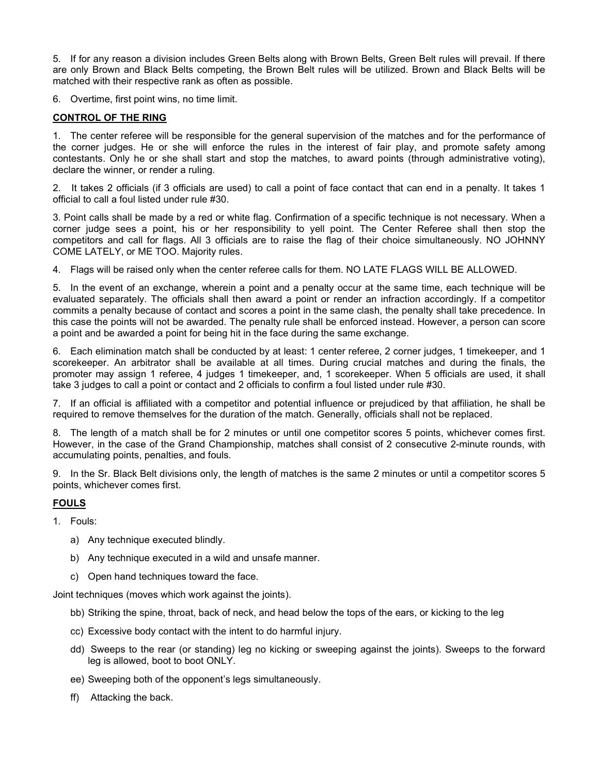5. If for any reason a division includes Green Belts along with Brown Belts, Green Belt rules will prevail. If there are only Brown and Black Belts competing, the Brown Belt rules will be utilized. Brown and Black Belts will be matched with their respective rank as often as possible.

6. Overtime, first point wins, no time limit.

## CONTROL OF THE RING

1. The center referee will be responsible for the general supervision of the matches and for the performance of the corner judges. He or she will enforce the rules in the interest of fair play, and promote safety among contestants. Only he or she shall start and stop the matches, to award points (through administrative voting), declare the winner, or render a ruling.

2. It takes 2 officials (if 3 officials are used) to call a point of face contact that can end in a penalty. It takes 1 official to call a foul listed under rule #30.

3. Point calls shall be made by a red or white flag. Confirmation of a specific technique is not necessary. When a corner judge sees a point, his or her responsibility to yell point. The Center Referee shall then stop the competitors and call for flags. All 3 officials are to raise the flag of their choice simultaneously. NO JOHNNY COME LATELY, or ME TOO. Majority rules.

4. Flags will be raised only when the center referee calls for them. NO LATE FLAGS WILL BE ALLOWED.

5. In the event of an exchange, wherein a point and a penalty occur at the same time, each technique will be evaluated separately. The officials shall then award a point or render an infraction accordingly. If a competitor commits a penalty because of contact and scores a point in the same clash, the penalty shall take precedence. In this case the points will not be awarded. The penalty rule shall be enforced instead. However, a person can score a point and be awarded a point for being hit in the face during the same exchange.

6. Each elimination match shall be conducted by at least: 1 center referee, 2 corner judges, 1 timekeeper, and 1 scorekeeper. An arbitrator shall be available at all times. During crucial matches and during the finals, the promoter may assign 1 referee, 4 judges 1 timekeeper, and, 1 scorekeeper. When 5 officials are used, it shall take 3 judges to call a point or contact and 2 officials to confirm a foul listed under rule #30.

7. If an official is affiliated with a competitor and potential influence or prejudiced by that affiliation, he shall be required to remove themselves for the duration of the match. Generally, officials shall not be replaced.

8. The length of a match shall be for 2 minutes or until one competitor scores 5 points, whichever comes first. However, in the case of the Grand Championship, matches shall consist of 2 consecutive 2-minute rounds, with accumulating points, penalties, and fouls.

9. In the Sr. Black Belt divisions only, the length of matches is the same 2 minutes or until a competitor scores 5 points, whichever comes first.

## FOULS

1. Fouls:

- a) Any technique executed blindly.
- b) Any technique executed in a wild and unsafe manner.
- c) Open hand techniques toward the face.

Joint techniques (moves which work against the joints).

- bb) Striking the spine, throat, back of neck, and head below the tops of the ears, or kicking to the leg
- cc) Excessive body contact with the intent to do harmful injury.
- dd) Sweeps to the rear (or standing) leg no kicking or sweeping against the joints). Sweeps to the forward leg is allowed, boot to boot ONLY.
- ee) Sweeping both of the opponent's legs simultaneously.
- ff) Attacking the back.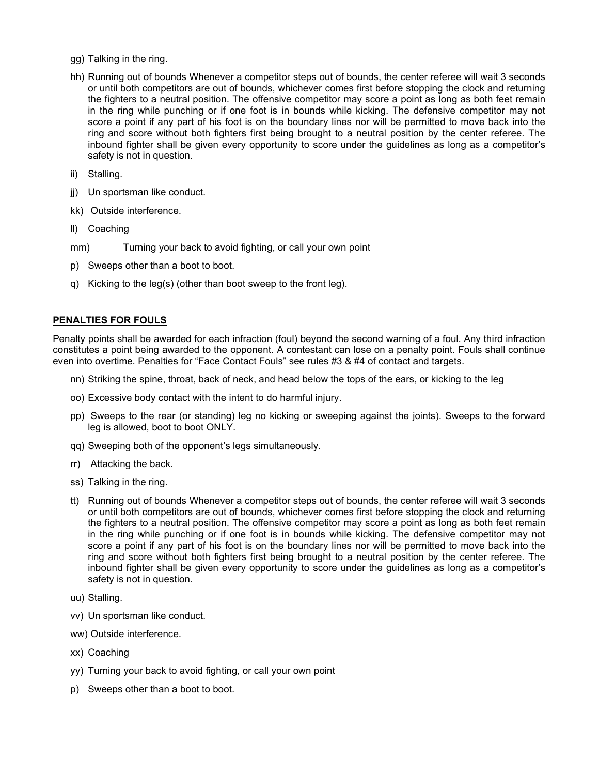- gg) Talking in the ring.
- hh) Running out of bounds Whenever a competitor steps out of bounds, the center referee will wait 3 seconds or until both competitors are out of bounds, whichever comes first before stopping the clock and returning the fighters to a neutral position. The offensive competitor may score a point as long as both feet remain in the ring while punching or if one foot is in bounds while kicking. The defensive competitor may not score a point if any part of his foot is on the boundary lines nor will be permitted to move back into the ring and score without both fighters first being brought to a neutral position by the center referee. The inbound fighter shall be given every opportunity to score under the guidelines as long as a competitor's safety is not in question.
- ii) Stalling.
- jj) Un sportsman like conduct.
- kk) Outside interference.
- ll) Coaching
- mm) Turning your back to avoid fighting, or call your own point
- p) Sweeps other than a boot to boot.
- q) Kicking to the leg(s) (other than boot sweep to the front leg).

#### PENALTIES FOR FOULS

Penalty points shall be awarded for each infraction (foul) beyond the second warning of a foul. Any third infraction constitutes a point being awarded to the opponent. A contestant can lose on a penalty point. Fouls shall continue even into overtime. Penalties for "Face Contact Fouls" see rules #3 & #4 of contact and targets.

- nn) Striking the spine, throat, back of neck, and head below the tops of the ears, or kicking to the leg
- oo) Excessive body contact with the intent to do harmful injury.
- pp) Sweeps to the rear (or standing) leg no kicking or sweeping against the joints). Sweeps to the forward leg is allowed, boot to boot ONLY.
- qq) Sweeping both of the opponent's legs simultaneously.
- rr) Attacking the back.
- ss) Talking in the ring.
- tt) Running out of bounds Whenever a competitor steps out of bounds, the center referee will wait 3 seconds or until both competitors are out of bounds, whichever comes first before stopping the clock and returning the fighters to a neutral position. The offensive competitor may score a point as long as both feet remain in the ring while punching or if one foot is in bounds while kicking. The defensive competitor may not score a point if any part of his foot is on the boundary lines nor will be permitted to move back into the ring and score without both fighters first being brought to a neutral position by the center referee. The inbound fighter shall be given every opportunity to score under the guidelines as long as a competitor's safety is not in question.
- uu) Stalling.
- vv) Un sportsman like conduct.
- ww) Outside interference.
- xx) Coaching
- yy) Turning your back to avoid fighting, or call your own point
- p) Sweeps other than a boot to boot.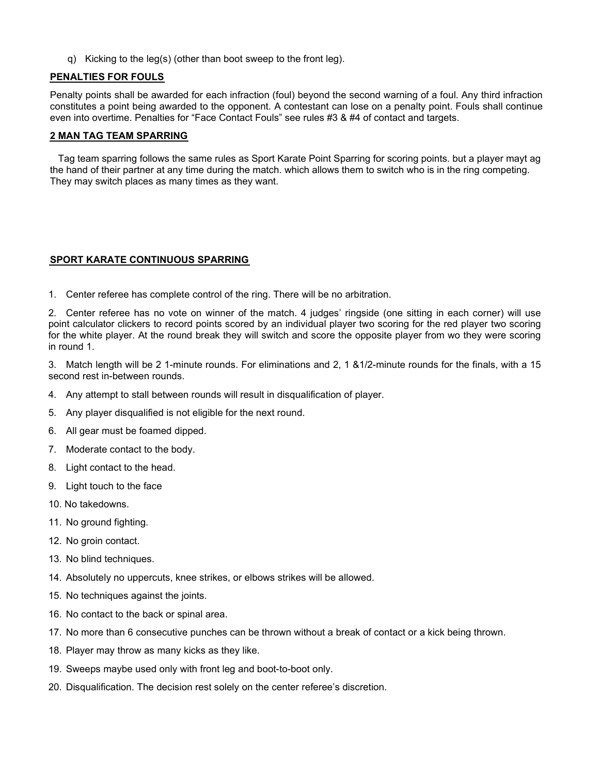q) Kicking to the leg(s) (other than boot sweep to the front leg).

## PENALTIES FOR FOULS

Penalty points shall be awarded for each infraction (foul) beyond the second warning of a foul. Any third infraction constitutes a point being awarded to the opponent. A contestant can lose on a penalty point. Fouls shall continue even into overtime. Penalties for "Face Contact Fouls" see rules #3 & #4 of contact and targets.

#### **2 MAN TAG TEAM SPARRING**

 Tag team sparring follows the same rules as Sport Karate Point Sparring for scoring points. but a player mayt ag the hand of their partner at any time during the match. which allows them to switch who is in the ring competing. They may switch places as many times as they want.

#### **SPORT KARATE** CONTINUOUS SPARRING

1. Center referee has complete control of the ring. There will be no arbitration.

2. Center referee has no vote on winner of the match. 4 judges' ringside (one sitting in each corner) will use point calculator clickers to record points scored by an individual player two scoring for the red player two scoring for the white player. At the round break they will switch and score the opposite player from wo they were scoring in round 1.

3. Match length will be 2 1-minute rounds. For eliminations and 2, 1 &1/2-minute rounds for the finals, with a 15 second rest in-between rounds.

- 4. Any attempt to stall between rounds will result in disqualification of player.
- 5. Any player disqualified is not eligible for the next round.
- 6. All gear must be foamed dipped.
- 7. Moderate contact to the body.
- 8. Light contact to the head.
- 9. Light touch to the face
- 10. No takedowns.
- 11. No ground fighting.
- 12. No groin contact.
- 13. No blind techniques.
- 14. Absolutely no uppercuts, knee strikes, or elbows strikes will be allowed.
- 15. No techniques against the joints.
- 16. No contact to the back or spinal area.
- 17. No more than 6 consecutive punches can be thrown without a break of contact or a kick being thrown.
- 18. Player may throw as many kicks as they like.
- 19. Sweeps maybe used only with front leg and boot-to-boot only.
- 20. Disqualification. The decision rest solely on the center referee's discretion.